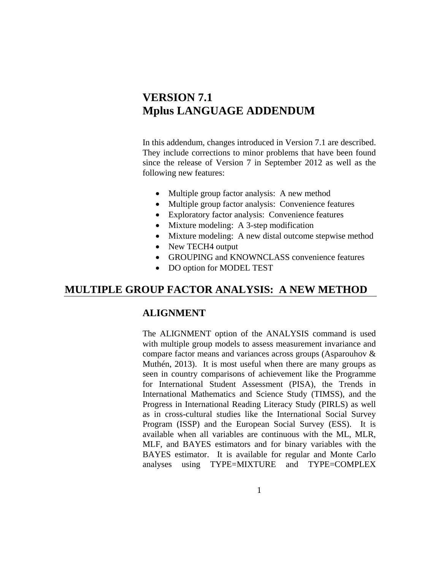# **VERSION 7.1 Mplus LANGUAGE ADDENDUM**

In this addendum, changes introduced in Version 7.1 are described. They include corrections to minor problems that have been found since the release of Version 7 in September 2012 as well as the following new features:

- Multiple group factor analysis: A new method
- Multiple group factor analysis: Convenience features
- Exploratory factor analysis: Convenience features
- Mixture modeling: A 3-step modification
- Mixture modeling: A new distal outcome stepwise method
- New TECH4 output
- GROUPING and KNOWNCLASS convenience features
- DO option for MODEL TEST

## **MULTIPLE GROUP FACTOR ANALYSIS: A NEW METHOD**

### **ALIGNMENT**

The ALIGNMENT option of the ANALYSIS command is used with multiple group models to assess measurement invariance and compare factor means and variances across groups (Asparouhov & Muthén, 2013). It is most useful when there are many groups as seen in country comparisons of achievement like the Programme for International Student Assessment (PISA), the Trends in International Mathematics and Science Study (TIMSS), and the Progress in International Reading Literacy Study (PIRLS) as well as in cross-cultural studies like the International Social Survey Program (ISSP) and the European Social Survey (ESS). It is available when all variables are continuous with the ML, MLR, MLF, and BAYES estimators and for binary variables with the BAYES estimator. It is available for regular and Monte Carlo analyses using TYPE=MIXTURE and TYPE=COMPLEX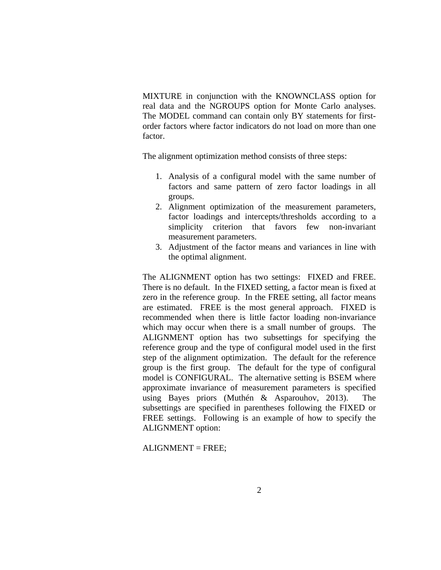MIXTURE in conjunction with the KNOWNCLASS option for real data and the NGROUPS option for Monte Carlo analyses. The MODEL command can contain only BY statements for firstorder factors where factor indicators do not load on more than one factor.

The alignment optimization method consists of three steps:

- 1. Analysis of a configural model with the same number of factors and same pattern of zero factor loadings in all groups.
- 2. Alignment optimization of the measurement parameters, factor loadings and intercepts/thresholds according to a simplicity criterion that favors few non-invariant measurement parameters.
- 3. Adjustment of the factor means and variances in line with the optimal alignment.

The ALIGNMENT option has two settings: FIXED and FREE. There is no default. In the FIXED setting, a factor mean is fixed at zero in the reference group. In the FREE setting, all factor means are estimated. FREE is the most general approach. FIXED is recommended when there is little factor loading non-invariance which may occur when there is a small number of groups. The ALIGNMENT option has two subsettings for specifying the reference group and the type of configural model used in the first step of the alignment optimization. The default for the reference group is the first group. The default for the type of configural model is CONFIGURAL. The alternative setting is BSEM where approximate invariance of measurement parameters is specified using Bayes priors (Muthén & Asparouhov, 2013). The subsettings are specified in parentheses following the FIXED or FREE settings. Following is an example of how to specify the ALIGNMENT option:

ALIGNMENT = FREE;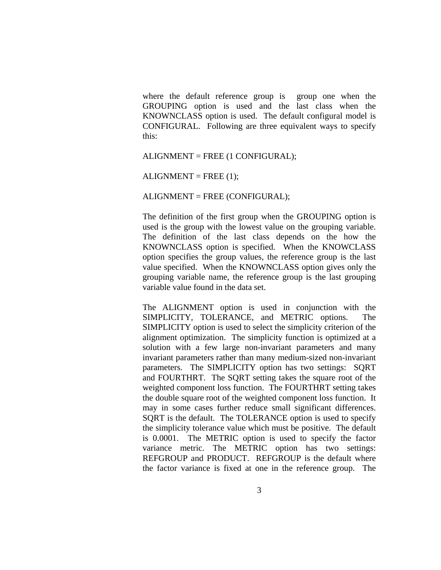where the default reference group is group one when the GROUPING option is used and the last class when the KNOWNCLASS option is used. The default configural model is CONFIGURAL. Following are three equivalent ways to specify this:

ALIGNMENT = FREE (1 CONFIGURAL);

 $ALIGNMENT = FREE (1);$ 

ALIGNMENT = FREE (CONFIGURAL);

The definition of the first group when the GROUPING option is used is the group with the lowest value on the grouping variable. The definition of the last class depends on the how the KNOWNCLASS option is specified. When the KNOWCLASS option specifies the group values, the reference group is the last value specified. When the KNOWNCLASS option gives only the grouping variable name, the reference group is the last grouping variable value found in the data set.

The ALIGNMENT option is used in conjunction with the SIMPLICITY, TOLERANCE, and METRIC options. The SIMPLICITY option is used to select the simplicity criterion of the alignment optimization. The simplicity function is optimized at a solution with a few large non-invariant parameters and many invariant parameters rather than many medium-sized non-invariant parameters. The SIMPLICITY option has two settings: SQRT and FOURTHRT. The SQRT setting takes the square root of the weighted component loss function. The FOURTHRT setting takes the double square root of the weighted component loss function. It may in some cases further reduce small significant differences. SQRT is the default. The TOLERANCE option is used to specify the simplicity tolerance value which must be positive. The default is 0.0001. The METRIC option is used to specify the factor variance metric. The METRIC option has two settings: REFGROUP and PRODUCT. REFGROUP is the default where the factor variance is fixed at one in the reference group. The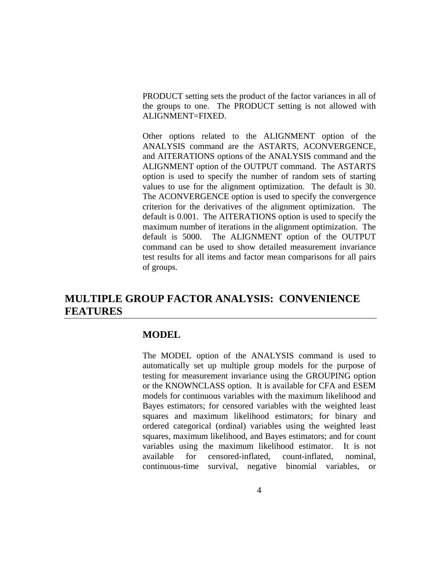PRODUCT setting sets the product of the factor variances in all of the groups to one. The PRODUCT setting is not allowed with ALIGNMENT=FIXED.

Other options related to the ALIGNMENT option of the ANALYSIS command are the ASTARTS, ACONVERGENCE, and AITERATIONS options of the ANALYSIS command and the ALIGNMENT option of the OUTPUT command. The ASTARTS option is used to specify the number of random sets of starting values to use for the alignment optimization. The default is 30. The ACONVERGENCE option is used to specify the convergence criterion for the derivatives of the alignment optimization. The default is 0.001. The AITERATIONS option is used to specify the maximum number of iterations in the alignment optimization. The default is 5000. The ALIGNMENT option of the OUTPUT command can be used to show detailed measurement invariance test results for all items and factor mean comparisons for all pairs of groups.

# **MULTIPLE GROUP FACTOR ANALYSIS: CONVENIENCE FEATURES**

#### **MODEL**

The MODEL option of the ANALYSIS command is used to automatically set up multiple group models for the purpose of testing for measurement invariance using the GROUPING option or the KNOWNCLASS option. It is available for CFA and ESEM models for continuous variables with the maximum likelihood and Bayes estimators; for censored variables with the weighted least squares and maximum likelihood estimators; for binary and ordered categorical (ordinal) variables using the weighted least squares, maximum likelihood, and Bayes estimators; and for count variables using the maximum likelihood estimator. It is not available for censored-inflated, count-inflated, nominal, continuous-time survival, negative binomial variables, or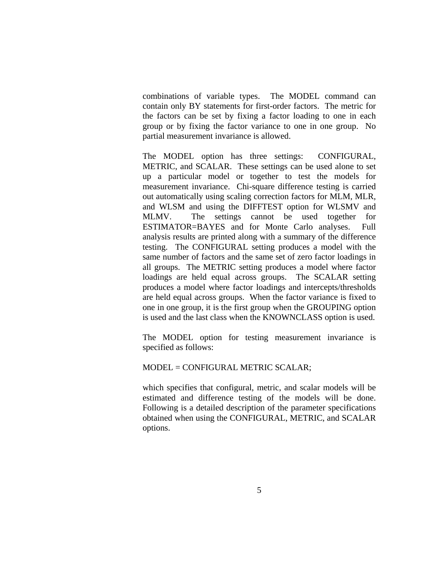combinations of variable types. The MODEL command can contain only BY statements for first-order factors. The metric for the factors can be set by fixing a factor loading to one in each group or by fixing the factor variance to one in one group. No partial measurement invariance is allowed.

The MODEL option has three settings: CONFIGURAL, METRIC, and SCALAR. These settings can be used alone to set up a particular model or together to test the models for measurement invariance. Chi-square difference testing is carried out automatically using scaling correction factors for MLM, MLR, and WLSM and using the DIFFTEST option for WLSMV and MLMV. The settings cannot be used together for ESTIMATOR=BAYES and for Monte Carlo analyses. Full analysis results are printed along with a summary of the difference testing. The CONFIGURAL setting produces a model with the same number of factors and the same set of zero factor loadings in all groups. The METRIC setting produces a model where factor loadings are held equal across groups. The SCALAR setting produces a model where factor loadings and intercepts/thresholds are held equal across groups. When the factor variance is fixed to one in one group, it is the first group when the GROUPING option is used and the last class when the KNOWNCLASS option is used.

The MODEL option for testing measurement invariance is specified as follows:

#### MODEL = CONFIGURAL METRIC SCALAR;

which specifies that configural, metric, and scalar models will be estimated and difference testing of the models will be done. Following is a detailed description of the parameter specifications obtained when using the CONFIGURAL, METRIC, and SCALAR options.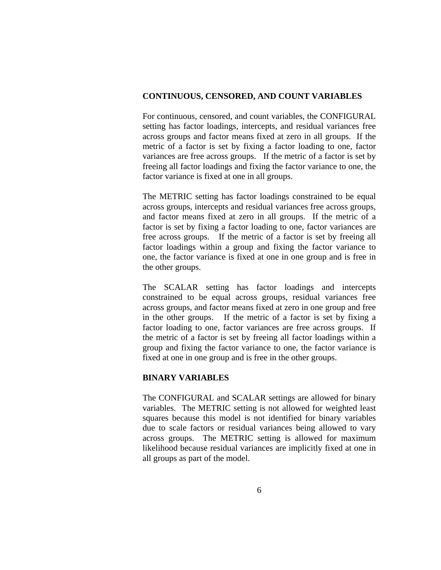#### **CONTINUOUS, CENSORED, AND COUNT VARIABLES**

For continuous, censored, and count variables, the CONFIGURAL setting has factor loadings, intercepts, and residual variances free across groups and factor means fixed at zero in all groups. If the metric of a factor is set by fixing a factor loading to one, factor variances are free across groups. If the metric of a factor is set by freeing all factor loadings and fixing the factor variance to one, the factor variance is fixed at one in all groups.

The METRIC setting has factor loadings constrained to be equal across groups, intercepts and residual variances free across groups, and factor means fixed at zero in all groups. If the metric of a factor is set by fixing a factor loading to one, factor variances are free across groups. If the metric of a factor is set by freeing all factor loadings within a group and fixing the factor variance to one, the factor variance is fixed at one in one group and is free in the other groups.

The SCALAR setting has factor loadings and intercepts constrained to be equal across groups, residual variances free across groups, and factor means fixed at zero in one group and free in the other groups. If the metric of a factor is set by fixing a factor loading to one, factor variances are free across groups. If the metric of a factor is set by freeing all factor loadings within a group and fixing the factor variance to one, the factor variance is fixed at one in one group and is free in the other groups.

### **BINARY VARIABLES**

The CONFIGURAL and SCALAR settings are allowed for binary variables. The METRIC setting is not allowed for weighted least squares because this model is not identified for binary variables due to scale factors or residual variances being allowed to vary across groups. The METRIC setting is allowed for maximum likelihood because residual variances are implicitly fixed at one in all groups as part of the model.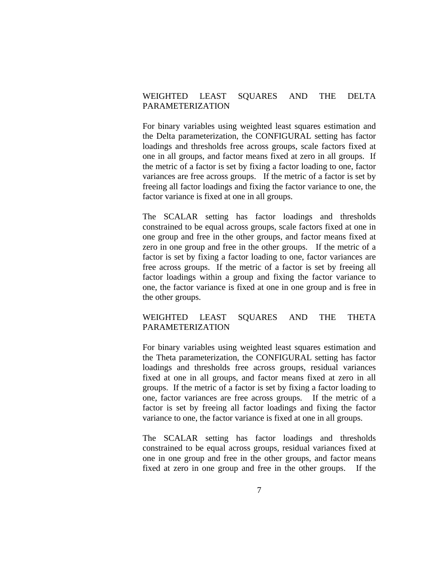### WEIGHTED LEAST SOUARES AND THE DELTA PARAMETERIZATION

For binary variables using weighted least squares estimation and the Delta parameterization, the CONFIGURAL setting has factor loadings and thresholds free across groups, scale factors fixed at one in all groups, and factor means fixed at zero in all groups. If the metric of a factor is set by fixing a factor loading to one, factor variances are free across groups. If the metric of a factor is set by freeing all factor loadings and fixing the factor variance to one, the factor variance is fixed at one in all groups.

The SCALAR setting has factor loadings and thresholds constrained to be equal across groups, scale factors fixed at one in one group and free in the other groups, and factor means fixed at zero in one group and free in the other groups. If the metric of a factor is set by fixing a factor loading to one, factor variances are free across groups. If the metric of a factor is set by freeing all factor loadings within a group and fixing the factor variance to one, the factor variance is fixed at one in one group and is free in the other groups.

### WEIGHTED LEAST SQUARES AND THE THETA PARAMETERIZATION

For binary variables using weighted least squares estimation and the Theta parameterization, the CONFIGURAL setting has factor loadings and thresholds free across groups, residual variances fixed at one in all groups, and factor means fixed at zero in all groups. If the metric of a factor is set by fixing a factor loading to one, factor variances are free across groups. If the metric of a factor is set by freeing all factor loadings and fixing the factor variance to one, the factor variance is fixed at one in all groups.

The SCALAR setting has factor loadings and thresholds constrained to be equal across groups, residual variances fixed at one in one group and free in the other groups, and factor means fixed at zero in one group and free in the other groups. If the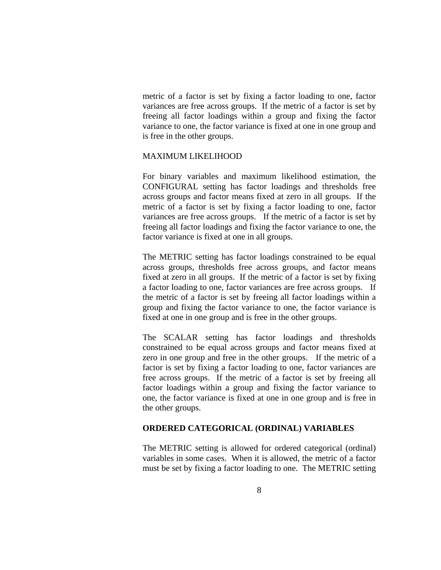metric of a factor is set by fixing a factor loading to one, factor variances are free across groups. If the metric of a factor is set by freeing all factor loadings within a group and fixing the factor variance to one, the factor variance is fixed at one in one group and is free in the other groups.

#### MAXIMUM LIKELIHOOD

For binary variables and maximum likelihood estimation, the CONFIGURAL setting has factor loadings and thresholds free across groups and factor means fixed at zero in all groups. If the metric of a factor is set by fixing a factor loading to one, factor variances are free across groups. If the metric of a factor is set by freeing all factor loadings and fixing the factor variance to one, the factor variance is fixed at one in all groups.

The METRIC setting has factor loadings constrained to be equal across groups, thresholds free across groups, and factor means fixed at zero in all groups. If the metric of a factor is set by fixing a factor loading to one, factor variances are free across groups. If the metric of a factor is set by freeing all factor loadings within a group and fixing the factor variance to one, the factor variance is fixed at one in one group and is free in the other groups.

The SCALAR setting has factor loadings and thresholds constrained to be equal across groups and factor means fixed at zero in one group and free in the other groups. If the metric of a factor is set by fixing a factor loading to one, factor variances are free across groups. If the metric of a factor is set by freeing all factor loadings within a group and fixing the factor variance to one, the factor variance is fixed at one in one group and is free in the other groups.

#### **ORDERED CATEGORICAL (ORDINAL) VARIABLES**

The METRIC setting is allowed for ordered categorical (ordinal) variables in some cases. When it is allowed, the metric of a factor must be set by fixing a factor loading to one. The METRIC setting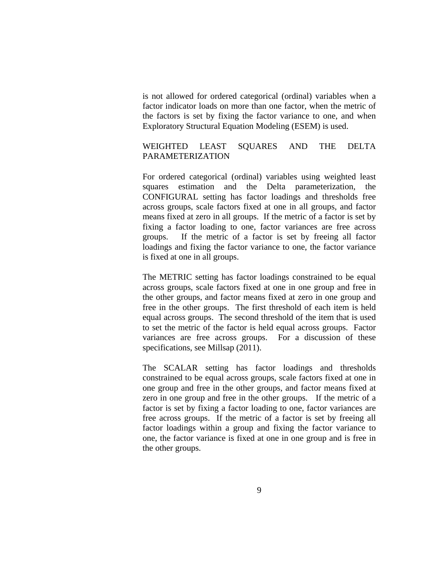is not allowed for ordered categorical (ordinal) variables when a factor indicator loads on more than one factor, when the metric of the factors is set by fixing the factor variance to one, and when Exploratory Structural Equation Modeling (ESEM) is used.

### WEIGHTED LEAST SQUARES AND THE DELTA PARAMETERIZATION

For ordered categorical (ordinal) variables using weighted least squares estimation and the Delta parameterization, the CONFIGURAL setting has factor loadings and thresholds free across groups, scale factors fixed at one in all groups, and factor means fixed at zero in all groups. If the metric of a factor is set by fixing a factor loading to one, factor variances are free across groups. If the metric of a factor is set by freeing all factor loadings and fixing the factor variance to one, the factor variance is fixed at one in all groups.

The METRIC setting has factor loadings constrained to be equal across groups, scale factors fixed at one in one group and free in the other groups, and factor means fixed at zero in one group and free in the other groups. The first threshold of each item is held equal across groups. The second threshold of the item that is used to set the metric of the factor is held equal across groups. Factor variances are free across groups. For a discussion of these specifications, see Millsap (2011).

The SCALAR setting has factor loadings and thresholds constrained to be equal across groups, scale factors fixed at one in one group and free in the other groups, and factor means fixed at zero in one group and free in the other groups. If the metric of a factor is set by fixing a factor loading to one, factor variances are free across groups. If the metric of a factor is set by freeing all factor loadings within a group and fixing the factor variance to one, the factor variance is fixed at one in one group and is free in the other groups.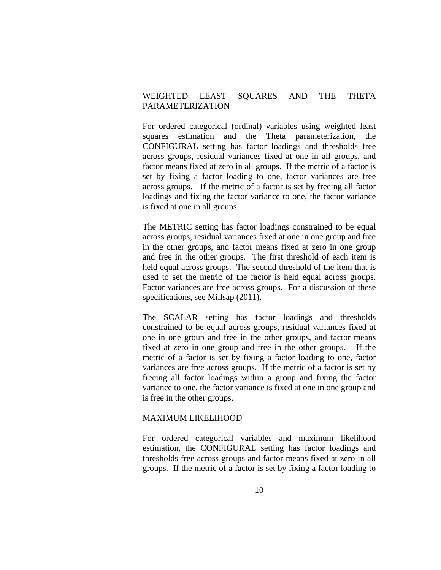### WEIGHTED LEAST SOUARES AND THE THETA PARAMETERIZATION

For ordered categorical (ordinal) variables using weighted least squares estimation and the Theta parameterization, the CONFIGURAL setting has factor loadings and thresholds free across groups, residual variances fixed at one in all groups, and factor means fixed at zero in all groups. If the metric of a factor is set by fixing a factor loading to one, factor variances are free across groups. If the metric of a factor is set by freeing all factor loadings and fixing the factor variance to one, the factor variance is fixed at one in all groups.

The METRIC setting has factor loadings constrained to be equal across groups, residual variances fixed at one in one group and free in the other groups, and factor means fixed at zero in one group and free in the other groups. The first threshold of each item is held equal across groups. The second threshold of the item that is used to set the metric of the factor is held equal across groups. Factor variances are free across groups. For a discussion of these specifications, see Millsap (2011).

The SCALAR setting has factor loadings and thresholds constrained to be equal across groups, residual variances fixed at one in one group and free in the other groups, and factor means fixed at zero in one group and free in the other groups. If the metric of a factor is set by fixing a factor loading to one, factor variances are free across groups. If the metric of a factor is set by freeing all factor loadings within a group and fixing the factor variance to one, the factor variance is fixed at one in one group and is free in the other groups.

#### MAXIMUM LIKELIHOOD

For ordered categorical variables and maximum likelihood estimation, the CONFIGURAL setting has factor loadings and thresholds free across groups and factor means fixed at zero in all groups. If the metric of a factor is set by fixing a factor loading to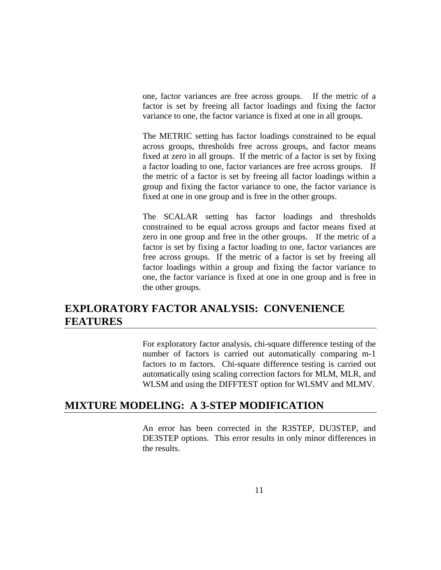one, factor variances are free across groups. If the metric of a factor is set by freeing all factor loadings and fixing the factor variance to one, the factor variance is fixed at one in all groups.

The METRIC setting has factor loadings constrained to be equal across groups, thresholds free across groups, and factor means fixed at zero in all groups. If the metric of a factor is set by fixing a factor loading to one, factor variances are free across groups. If the metric of a factor is set by freeing all factor loadings within a group and fixing the factor variance to one, the factor variance is fixed at one in one group and is free in the other groups.

The SCALAR setting has factor loadings and thresholds constrained to be equal across groups and factor means fixed at zero in one group and free in the other groups. If the metric of a factor is set by fixing a factor loading to one, factor variances are free across groups. If the metric of a factor is set by freeing all factor loadings within a group and fixing the factor variance to one, the factor variance is fixed at one in one group and is free in the other groups.

# **EXPLORATORY FACTOR ANALYSIS: CONVENIENCE FEATURES**

For exploratory factor analysis, chi-square difference testing of the number of factors is carried out automatically comparing m-1 factors to m factors. Chi-square difference testing is carried out automatically using scaling correction factors for MLM, MLR, and WLSM and using the DIFFTEST option for WLSMV and MLMV.

# **MIXTURE MODELING: A 3-STEP MODIFICATION**

An error has been corrected in the R3STEP, DU3STEP, and DE3STEP options. This error results in only minor differences in the results.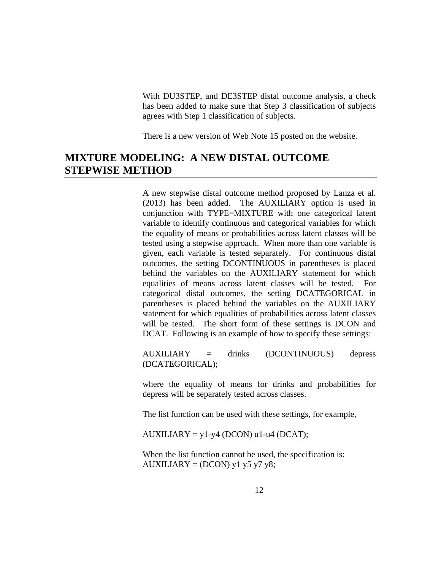With DU3STEP, and DE3STEP distal outcome analysis, a check has been added to make sure that Step 3 classification of subjects agrees with Step 1 classification of subjects.

There is a new version of Web Note 15 posted on the website.

# **MIXTURE MODELING: A NEW DISTAL OUTCOME STEPWISE METHOD**

A new stepwise distal outcome method proposed by Lanza et al. (2013) has been added. The AUXILIARY option is used in conjunction with TYPE=MIXTURE with one categorical latent variable to identify continuous and categorical variables for which the equality of means or probabilities across latent classes will be tested using a stepwise approach. When more than one variable is given, each variable is tested separately. For continuous distal outcomes, the setting DCONTINUOUS in parentheses is placed behind the variables on the AUXILIARY statement for which equalities of means across latent classes will be tested. For categorical distal outcomes, the setting DCATEGORICAL in parentheses is placed behind the variables on the AUXILIARY statement for which equalities of probabilities across latent classes will be tested. The short form of these settings is DCON and DCAT. Following is an example of how to specify these settings:

AUXILIARY = drinks (DCONTINUOUS) depress (DCATEGORICAL);

where the equality of means for drinks and probabilities for depress will be separately tested across classes.

The list function can be used with these settings, for example,

 $AUXILIARY = y1-y4 (DCON) u1-u4 (DCAT);$ 

When the list function cannot be used, the specification is:  $AUXILIARY = (DCON) y1 y5 y7 y8;$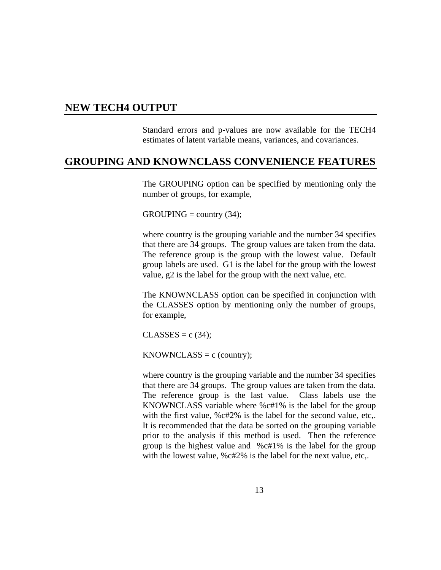## **NEW TECH4 OUTPUT**

Standard errors and p-values are now available for the TECH4 estimates of latent variable means, variances, and covariances.

# **GROUPING AND KNOWNCLASS CONVENIENCE FEATURES**

The GROUPING option can be specified by mentioning only the number of groups, for example,

 $GROUPING = country(34);$ 

where country is the grouping variable and the number 34 specifies that there are 34 groups. The group values are taken from the data. The reference group is the group with the lowest value. Default group labels are used. G1 is the label for the group with the lowest value, g2 is the label for the group with the next value, etc.

The KNOWNCLASS option can be specified in conjunction with the CLASSES option by mentioning only the number of groups, for example,

 $CLASSES = c (34);$ 

 $KNOWNCLASS = c$  (country);

where country is the grouping variable and the number 34 specifies that there are 34 groups. The group values are taken from the data. The reference group is the last value. Class labels use the KNOWNCLASS variable where %c#1% is the label for the group with the first value, %c#2% is the label for the second value, etc,. It is recommended that the data be sorted on the grouping variable prior to the analysis if this method is used. Then the reference group is the highest value and %c#1% is the label for the group with the lowest value, %c#2% is the label for the next value, etc,.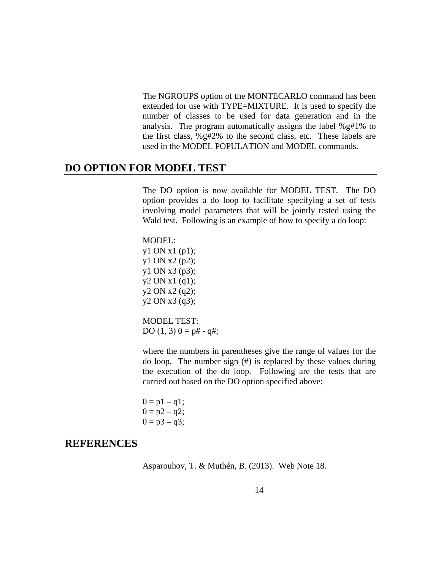The NGROUPS option of the MONTECARLO command has been extended for use with TYPE=MIXTURE. It is used to specify the number of classes to be used for data generation and in the analysis. The program automatically assigns the label %g#1% to the first class, %g#2% to the second class, etc. These labels are used in the MODEL POPULATION and MODEL commands.

## **DO OPTION FOR MODEL TEST**

The DO option is now available for MODEL TEST. The DO option provides a do loop to facilitate specifying a set of tests involving model parameters that will be jointly tested using the Wald test. Following is an example of how to specify a do loop:

MODEL: y1 ON x1 (p1); y1 ON x2 (p2); y1 ON x3 (p3); y2 ON x1 (q1); y2 ON x2 (q2); y2 ON x3 (q3);

MODEL TEST: DO  $(1, 3)$   $0 = p# - q#$ ;

where the numbers in parentheses give the range of values for the do loop. The number sign (#) is replaced by these values during the execution of the do loop. Following are the tests that are carried out based on the DO option specified above:

 $0 = p1 - q1$ ;  $0 = p2 - q2;$  $0 = p3 - q3;$ 

## **REFERENCES**

Asparouhov, T. & Muthén, B. (2013). Web Note 18.